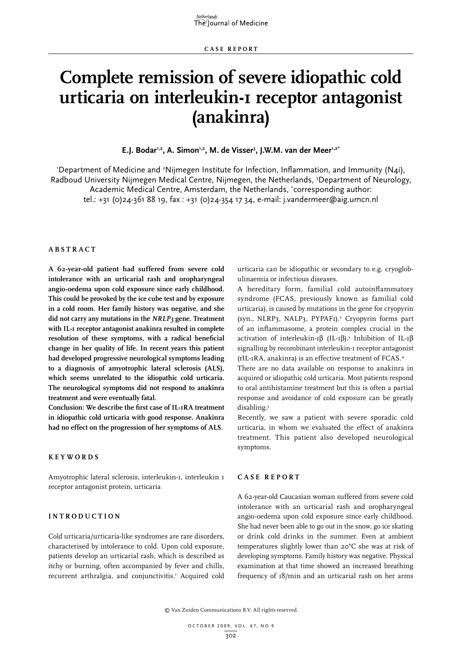# **Complete remission of severe idiopathic cold urticaria on interleukin-1 receptor antagonist (anakinra)**

E.J. Bodar<sup>1,2</sup>, A. Simon<sup>1,2</sup>, M. de Visser<sup>3</sup>, J.W.M. van der Meer<sup>1,2\*</sup>

'Department of Medicine and <sup>2</sup>Nijmegen Institute for Infection, Inflammation, and Immunity (N4i), Radboud University Nijmegen Medical Centre, Nijmegen, the Netherlands, <sup>3</sup>Department of Neurology, Academic Medical Centre, Amsterdam, the Netherlands, \* corresponding author: tel.: +31 (0)24-361 88 19, fax : +31 (0)24-354 17 34, e-mail: j.vandermeer@aig.umcn.nl

### **A bstra c t**

**A 62-year-old patient had suffered from severe cold intolerance with an urticarial rash and oropharyngeal angio-oedema upon cold exposure since early childhood. This could be provoked by the ice cube test and by exposure in a cold room. Her family history was negative, and she did not carry any mutations in the** *NRLP3* **gene. Treatment with IL-1 receptor antagonist anakinra resulted in complete resolution of these symptoms, with a radical beneficial change in her quality of life. In recent years this patient had developed progressive neurological symptoms leading to a diagnosis of amyotrophic lateral sclerosis (ALS), which seems unrelated to the idiopathic cold urticaria. The neurological symptoms did not respond to anakinra treatment and were eventually fatal.**

**Conclusion: We describe the first case of IL-1RA treatment in idiopathic cold urticaria with good response. Anakinra had no effect on the progression of her symptoms of ALS.**

#### **Keywords**

Amyotrophic lateral sclerosis, interleukin-1, interleukin 1 receptor antagonist protein, urticaria

## **I ntrodu c tion**

Cold urticaria/urticaria-like syndromes are rare disorders, characterised by intolerance to cold. Upon cold exposure, patients develop an urticarial rash, which is described as itchy or burning, often accompanied by fever and chills, recurrent arthralgia, and conjunctivitis.<sup>1</sup> Acquired cold urticaria can be idiopathic or secondary to e.g. cryoglobulinaemia or infectious diseases.

A hereditary form, familial cold autoinflammatory syndrome (FCAS, previously known as familial cold urticaria), is caused by mutations in the gene for cryopyrin (syn., NLRP3, NALP3, PYPAF1).2 Cryopyrin forms part of an inflammasome, a protein complex crucial in the activation of interleukin-1 $\beta$  (IL-1 $\beta$ ).<sup>3</sup> Inhibition of IL-1 $\beta$ signalling by recombinant interleukin-1 receptor antagonist (rIL-1RA, anakinra) is an effective treatment of FCAS.4

There are no data available on response to anakinra in acquired or idiopathic cold urticaria. Most patients respond to oral antihistamine treatment but this is often a partial response and avoidance of cold exposure can be greatly disabling.5

Recently, we saw a patient with severe sporadic cold urticaria, in whom we evaluated the effect of anakinra treatment. This patient also developed neurological symptoms.

#### **Case report**

A 62-year-old Caucasian woman suffered from severe cold intolerance with an urticarial rash and oropharyngeal angio-oedema upon cold exposure since early childhood. She had never been able to go out in the snow, go ice skating or drink cold drinks in the summer. Even at ambient temperatures slightly lower than 20°C she was at risk of developing symptoms. Family history was negative. Physical examination at that time showed an increased breathing frequency of 18/min and an urticarial rash on her arms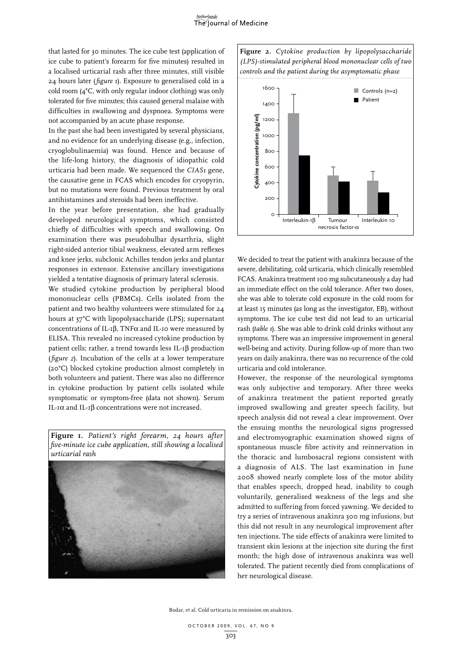that lasted for 30 minutes. The ice cube test (application of ice cube to patient's forearm for five minutes) resulted in a localised urticarial rash after three minutes, still visible 24 hours later (*figure 1*). Exposure to generalised cold in a cold room (4°C, with only regular indoor clothing) was only tolerated for five minutes; this caused general malaise with difficulties in swallowing and dyspnoea. Symptoms were not accompanied by an acute phase response.

In the past she had been investigated by several physicians, and no evidence for an underlying disease (e.g., infection, cryoglobulinaemia) was found. Hence and because of the life-long history, the diagnosis of idiopathic cold urticaria had been made. We sequenced the *CIAS1* gene, the causative gene in FCAS which encodes for cryopyrin, but no mutations were found. Previous treatment by oral antihistamines and steroids had been ineffective.

In the year before presentation, she had gradually developed neurological symptoms, which consisted chiefly of difficulties with speech and swallowing. On examination there was pseudobulbar dysarthria, slight right-sided anterior tibial weakness, elevated arm reflexes and knee jerks, subclonic Achilles tendon jerks and plantar responses in extensor. Extensive ancillary investigations yielded a tentative diagnosis of primary lateral sclerosis.

We studied cytokine production by peripheral blood mononuclear cells (PBMCs). Cells isolated from the patient and two healthy volunteers were stimulated for 24 hours at 37°C with lipopolysaccharide (LPS); supernatant concentrations of IL-1 $\beta$ , TNF $\alpha$  and IL-10 were measured by ELISA. This revealed no increased cytokine production by patient cells; rather, a trend towards less IL-1<sup>β</sup> production (*figure 2*). Incubation of the cells at a lower temperature (20°C) blocked cytokine production almost completely in both volunteers and patient. There was also no difference in cytokine production by patient cells isolated while symptomatic or symptom-free (data not shown). Serum IL-1 $\alpha$  and IL-1 $\beta$  concentrations were not increased.

**Figure 1.** *Patient's right forearm, 24 hours after five-minute ice cube application, still showing a localised urticarial rash*







We decided to treat the patient with anakinra because of the severe, debilitating, cold urticaria, which clinically resembled FCAS. Anakinra treatment 100 mg subcutaneously a day had an immediate effect on the cold tolerance. After two doses, she was able to tolerate cold exposure in the cold room for at least 15 minutes (as long as the investigator, EB), without symptoms. The ice cube test did not lead to an urticarial rash (*table 1*). She was able to drink cold drinks without any symptoms. There was an impressive improvement in general well-being and activity. During follow-up of more than two years on daily anakinra, there was no recurrence of the cold urticaria and cold intolerance.

However, the response of the neurological symptoms was only subjective and temporary. After three weeks of anakinra treatment the patient reported greatly improved swallowing and greater speech facility, but speech analysis did not reveal a clear improvement. Over the ensuing months the neurological signs progressed and electromyographic examination showed signs of spontaneous muscle fibre activity and reinnervation in the thoracic and lumbosacral regions consistent with a diagnosis of ALS. The last examination in June 2008 showed nearly complete loss of the motor ability that enables speech, dropped head, inability to cough voluntarily, generalised weakness of the legs and she admitted to suffering from forced yawning. We decided to try a series of intravenous anakinra 300 mg infusions, but this did not result in any neurological improvement after ten injections. The side effects of anakinra were limited to transient skin lesions at the injection site during the first month; the high dose of intravenous anakinra was well tolerated. The patient recently died from complications of her neurological disease.

Bodar, et al. Cold urticaria in remission on anakinra.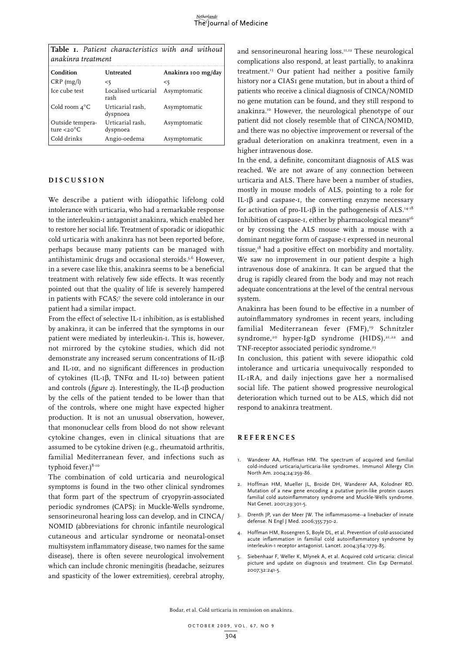|                    |  |  | Table I. Patient characteristics with and without |  |  |  |  |  |
|--------------------|--|--|---------------------------------------------------|--|--|--|--|--|
| anakinra treatment |  |  |                                                   |  |  |  |  |  |

| Condition                                    | Untreated                    | Anakinra 100 mg/day |
|----------------------------------------------|------------------------------|---------------------|
| $CRP$ (mg/l)                                 | <5                           | <5                  |
| Ice cube test                                | Localised urticarial<br>rash | Asymptomatic        |
| Cold room $4^{\circ}$ C                      | Urticarial rash,<br>dyspnoea | Asymptomatic        |
| Outside tempera-<br>ture $<$ 20 $^{\circ}$ C | Urticarial rash,<br>dyspnoea | Asymptomatic        |
| Cold drinks                                  | Angio-oedema                 | Asymptomatic        |
|                                              |                              |                     |

### **D i s c ussion**

We describe a patient with idiopathic lifelong cold intolerance with urticaria, who had a remarkable response to the interleukin-1 antagonist anakinra, which enabled her to restore her social life. Treatment of sporadic or idiopathic cold urticaria with anakinra has not been reported before, perhaps because many patients can be managed with antihistaminic drugs and occasional steroids.<sup>5,6</sup> However, in a severe case like this, anakinra seems to be a beneficial treatment with relatively few side effects. It was recently pointed out that the quality of life is severely hampered in patients with FCAS;7 the severe cold intolerance in our patient had a similar impact.

From the effect of selective IL-I inhibition, as is established by anakinra, it can be inferred that the symptoms in our patient were mediated by interleukin-1. This is, however, not mirrored by the cytokine studies, which did not demonstrate any increased serum concentrations of IL-1 $\beta$ and IL- $I\alpha$ , and no significant differences in production of cytokines (IL-1 $\beta$ , TNF $\alpha$  and IL-10) between patient and controls ( $figure$  2). Interestingly, the IL-1 $\beta$  production by the cells of the patient tended to be lower than that of the controls, where one might have expected higher production. It is not an unusual observation, however, that mononuclear cells from blood do not show relevant cytokine changes, even in clinical situations that are assumed to be cytokine driven (e.g., rheumatoid arthritis, familial Mediterranean fever, and infections such as typhoid fever.) $8-10$ 

The combination of cold urticaria and neurological symptoms is found in the two other clinical syndromes that form part of the spectrum of cryopyrin-associated periodic syndromes (CAPS): in Muckle-Wells syndrome, sensorineuronal hearing loss can develop, and in CINCA/ NOMID (abbreviations for chronic infantile neurological cutaneous and articular syndrome or neonatal-onset multisystem inflammatory disease, two names for the same disease), there is often severe neurological involvement which can include chronic meningitis (headache, seizures and spasticity of the lower extremities), cerebral atrophy,

and sensorineuronal hearing loss.<sup>11,12</sup> These neurological complications also respond, at least partially, to anakinra treatment.13 Our patient had neither a positive family history nor a CIAS1 gene mutation, but in about a third of patients who receive a clinical diagnosis of CINCA/NOMID no gene mutation can be found, and they still respond to anakinra.10 However, the neurological phenotype of our patient did not closely resemble that of CINCA/NOMID, and there was no objective improvement or reversal of the gradual deterioration on anakinra treatment, even in a higher intravenous dose.

In the end, a definite, concomitant diagnosis of ALS was reached. We are not aware of any connection between urticaria and ALS. There have been a number of studies, mostly in mouse models of ALS, pointing to a role for IL- $I\beta$  and caspase-1, the converting enzyme necessary for activation of pro-IL-1 $\beta$  in the pathogenesis of ALS.<sup>14-18</sup> Inhibition of caspase-1, either by pharmacological means $16$ or by crossing the ALS mouse with a mouse with a dominant negative form of caspase-1 expressed in neuronal tissue,18 had a positive effect on morbidity and mortality. We saw no improvement in our patient despite a high intravenous dose of anakinra. It can be argued that the drug is rapidly cleared from the body and may not reach adequate concentrations at the level of the central nervous system.

Anakinra has been found to be effective in a number of autoinflammatory syndromes in recent years, including familial Mediterranean fever (FMF),<sup>19</sup> Schnitzler syndrome,<sup>20</sup> hyper-IgD syndrome (HIDS),<sup>21,22</sup> and TNF-receptor associated periodic syndrome.<sup>23</sup>

In conclusion, this patient with severe idiopathic cold intolerance and urticaria unequivocally responded to IL-1RA, and daily injections gave her a normalised social life. The patient showed progressive neurological deterioration which turned out to be ALS, which did not respond to anakinra treatment.

### **R eferen c e s**

- 1. Wanderer AA, Hoffman HM. The spectrum of acquired and familial cold-induced urticaria/urticaria-like syndromes. Immunol Allergy Clin North Am. 2004;24:259-86.
- 2. Hoffman HM, Mueller JL, Broide DH, Wanderer AA, Kolodner RD. Mutation of a new gene encoding a putative pyrin-like protein causes familial cold autoinflammatory syndrome and Muckle-Wells syndrome. Nat Genet. 2001;29:301-5.
- 3. Drenth JP, van der Meer JW. The inflammasome--a linebacker of innate defense. N Engl J Med. 2006;355:730-2.
- 4. Hoffman HM, Rosengren S, Boyle DL, et al. Prevention of cold-associated acute inflammation in familial cold autoinflammatory syndrome by interleukin-1 receptor antagonist. Lancet. 2004;364:1779-85.
- 5. Siebenhaar F, Weller K, Mlynek A, et al. Acquired cold urticaria: clinical picture and update on diagnosis and treatment. Clin Exp Dermatol. 2007;32:241-5.

Bodar, et al. Cold urticaria in remission on anakinra.